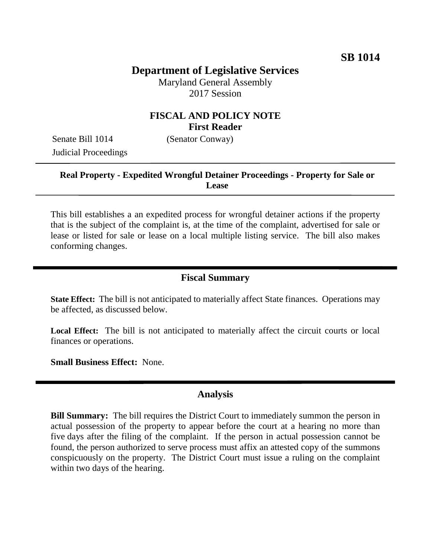# **Department of Legislative Services**

Maryland General Assembly 2017 Session

### **FISCAL AND POLICY NOTE First Reader**

Senate Bill 1014 (Senator Conway) Judicial Proceedings

#### **Real Property - Expedited Wrongful Detainer Proceedings - Property for Sale or Lease**

This bill establishes a an expedited process for wrongful detainer actions if the property that is the subject of the complaint is, at the time of the complaint, advertised for sale or lease or listed for sale or lease on a local multiple listing service. The bill also makes conforming changes.

### **Fiscal Summary**

**State Effect:** The bill is not anticipated to materially affect State finances. Operations may be affected, as discussed below.

**Local Effect:** The bill is not anticipated to materially affect the circuit courts or local finances or operations.

**Small Business Effect:** None.

#### **Analysis**

**Bill Summary:** The bill requires the District Court to immediately summon the person in actual possession of the property to appear before the court at a hearing no more than five days after the filing of the complaint. If the person in actual possession cannot be found, the person authorized to serve process must affix an attested copy of the summons conspicuously on the property. The District Court must issue a ruling on the complaint within two days of the hearing.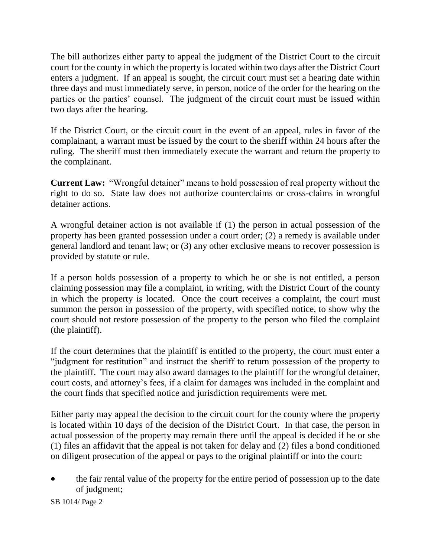The bill authorizes either party to appeal the judgment of the District Court to the circuit court for the county in which the property is located within two days after the District Court enters a judgment. If an appeal is sought, the circuit court must set a hearing date within three days and must immediately serve, in person, notice of the order for the hearing on the parties or the parties' counsel. The judgment of the circuit court must be issued within two days after the hearing.

If the District Court, or the circuit court in the event of an appeal, rules in favor of the complainant, a warrant must be issued by the court to the sheriff within 24 hours after the ruling. The sheriff must then immediately execute the warrant and return the property to the complainant.

**Current Law:** "Wrongful detainer" means to hold possession of real property without the right to do so. State law does not authorize counterclaims or cross-claims in wrongful detainer actions.

A wrongful detainer action is not available if (1) the person in actual possession of the property has been granted possession under a court order; (2) a remedy is available under general landlord and tenant law; or (3) any other exclusive means to recover possession is provided by statute or rule.

If a person holds possession of a property to which he or she is not entitled, a person claiming possession may file a complaint, in writing, with the District Court of the county in which the property is located. Once the court receives a complaint, the court must summon the person in possession of the property, with specified notice, to show why the court should not restore possession of the property to the person who filed the complaint (the plaintiff).

If the court determines that the plaintiff is entitled to the property, the court must enter a "judgment for restitution" and instruct the sheriff to return possession of the property to the plaintiff. The court may also award damages to the plaintiff for the wrongful detainer, court costs, and attorney's fees, if a claim for damages was included in the complaint and the court finds that specified notice and jurisdiction requirements were met.

Either party may appeal the decision to the circuit court for the county where the property is located within 10 days of the decision of the District Court. In that case, the person in actual possession of the property may remain there until the appeal is decided if he or she (1) files an affidavit that the appeal is not taken for delay and (2) files a bond conditioned on diligent prosecution of the appeal or pays to the original plaintiff or into the court:

 the fair rental value of the property for the entire period of possession up to the date of judgment;

SB 1014/ Page 2